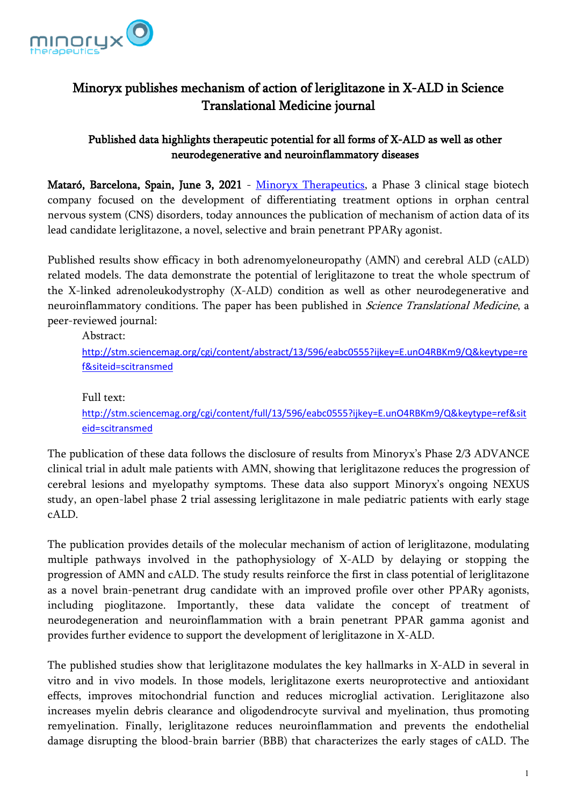

# Minoryx publishes mechanism of action of leriglitazone in X-ALD in Science Translational Medicine journal

## Published data highlights therapeutic potential for all forms of X-ALD as well as other neurodegenerative and neuroinflammatory diseases

Mataró, Barcelona, Spain, June 3, 2021 - [Minoryx Therapeutics,](https://www.minoryx.com/) a Phase 3 clinical stage biotech company focused on the development of differentiating treatment options in orphan central nervous system (CNS) disorders, today announces the publication of mechanism of action data of its lead candidate leriglitazone, a novel, selective and brain penetrant PPARγ agonist.

Published results show efficacy in both adrenomyeloneuropathy (AMN) and cerebral ALD (cALD) related models. The data demonstrate the potential of leriglitazone to treat the whole spectrum of the X-linked adrenoleukodystrophy (X-ALD) condition as well as other neurodegenerative and neuroinflammatory conditions. The paper has been published in *Science Translational Medicine*, a peer-reviewed journal:

Abstract: [http://stm.sciencemag.org/cgi/content/abstract/13/596/eabc0555?ijkey=E.unO4RBKm9/Q&keytype=re](http://stm.sciencemag.org/cgi/content/abstract/13/596/eabc0555?ijkey=E.unO4RBKm9/Q&keytype=ref&siteid=scitransmed) [f&siteid=scitransmed](http://stm.sciencemag.org/cgi/content/abstract/13/596/eabc0555?ijkey=E.unO4RBKm9/Q&keytype=ref&siteid=scitransmed)

Full text: [http://stm.sciencemag.org/cgi/content/full/13/596/eabc0555?ijkey=E.unO4RBKm9/Q&keytype=ref&sit](http://stm.sciencemag.org/cgi/content/full/13/596/eabc0555?ijkey=E.unO4RBKm9/Q&keytype=ref&siteid=scitransmed) [eid=scitransmed](http://stm.sciencemag.org/cgi/content/full/13/596/eabc0555?ijkey=E.unO4RBKm9/Q&keytype=ref&siteid=scitransmed)

The publication of these data follows the disclosure of results from Minoryx's Phase 2/3 ADVANCE clinical trial in adult male patients with AMN, showing that leriglitazone reduces the progression of cerebral lesions and myelopathy symptoms. These data also support Minoryx's ongoing NEXUS study, an open-label phase 2 trial assessing leriglitazone in male pediatric patients with early stage cALD.

The publication provides details of the molecular mechanism of action of leriglitazone, modulating multiple pathways involved in the pathophysiology of X-ALD by delaying or stopping the progression of AMN and cALD. The study results reinforce the first in class potential of leriglitazone as a novel brain-penetrant drug candidate with an improved profile over other PPARγ agonists, including pioglitazone. Importantly, these data validate the concept of treatment of neurodegeneration and neuroinflammation with a brain penetrant PPAR gamma agonist and provides further evidence to support the development of leriglitazone in X-ALD.

The published studies show that leriglitazone modulates the key hallmarks in X-ALD in several in vitro and in vivo models. In those models, leriglitazone exerts neuroprotective and antioxidant effects, improves mitochondrial function and reduces microglial activation. Leriglitazone also increases myelin debris clearance and oligodendrocyte survival and myelination, thus promoting remyelination. Finally, leriglitazone reduces neuroinflammation and prevents the endothelial damage disrupting the blood-brain barrier (BBB) that characterizes the early stages of cALD. The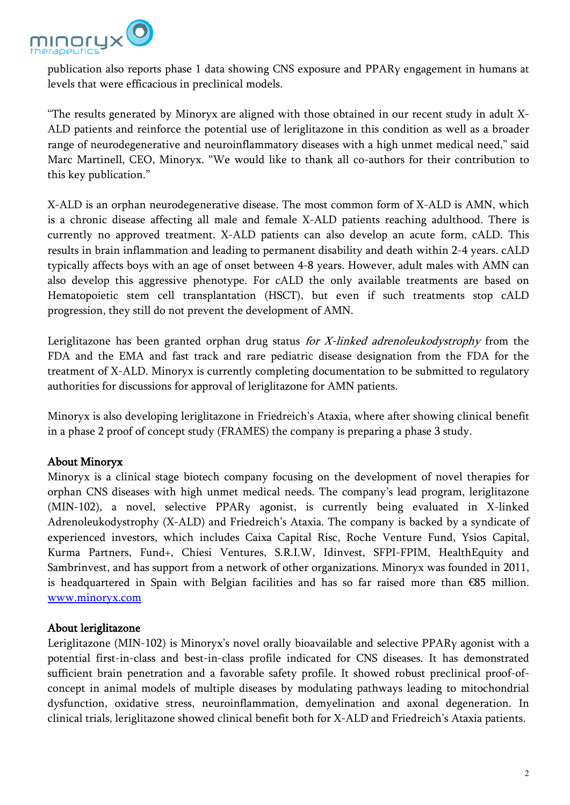

publication also reports phase 1 data showing CNS exposure and PPARγ engagement in humans at levels that were efficacious in preclinical models.

"The results generated by Minoryx are aligned with those obtained in our recent study in adult X-ALD patients and reinforce the potential use of leriglitazone in this condition as well as a broader range of neurodegenerative and neuroinflammatory diseases with a high unmet medical need," said Marc Martinell, CEO, Minoryx. "We would like to thank all co-authors for their contribution to this key publication."

X-ALD is an orphan neurodegenerative disease. The most common form of X-ALD is AMN, which is a chronic disease affecting all male and female X-ALD patients reaching adulthood. There is currently no approved treatment. X-ALD patients can also develop an acute form, cALD. This results in brain inflammation and leading to permanent disability and death within 2-4 years. cALD typically affects boys with an age of onset between 4-8 years. However, adult males with AMN can also develop this aggressive phenotype. For cALD the only available treatments are based on Hematopoietic stem cell transplantation (HSCT), but even if such treatments stop cALD progression, they still do not prevent the development of AMN.

Leriglitazone has been granted orphan drug status for  $X$ -linked adrenoleukodystrophy from the FDA and the EMA and fast track and rare pediatric disease designation from the FDA for the treatment of X-ALD. Minoryx is currently completing documentation to be submitted to regulatory authorities for discussions for approval of leriglitazone for AMN patients.

Minoryx is also developing leriglitazone in Friedreich's Ataxia, where after showing clinical benefit in a phase 2 proof of concept study (FRAMES) the company is preparing a phase 3 study.

## About Minoryx

Minoryx is a clinical stage biotech company focusing on the development of novel therapies for orphan CNS diseases with high unmet medical needs. The company's lead program, leriglitazone (MIN-102), a novel, selective PPARγ agonist, is currently being evaluated in X-linked Adrenoleukodystrophy (X-ALD) and Friedreich's Ataxia. The company is backed by a syndicate of experienced investors, which includes Caixa Capital Risc, Roche Venture Fund, Ysios Capital, Kurma Partners, Fund+, Chiesi Ventures, S.R.I.W, Idinvest, SFPI-FPIM, HealthEquity and Sambrinvest, and has support from a network of other organizations. Minoryx was founded in 2011, is headquartered in Spain with Belgian facilities and has so far raised more than €85 million. [www.minoryx.com](http://www.minoryx.com/)

#### About leriglitazone

Leriglitazone (MIN-102) is Minoryx's novel orally bioavailable and selective PPARγ agonist with a potential first-in-class and best-in-class profile indicated for CNS diseases. It has demonstrated sufficient brain penetration and a favorable safety profile. It showed robust preclinical proof-ofconcept in animal models of multiple diseases by modulating pathways leading to mitochondrial dysfunction, oxidative stress, neuroinflammation, demyelination and axonal degeneration. In clinical trials, leriglitazone showed clinical benefit both for X-ALD and Friedreich's Ataxia patients.